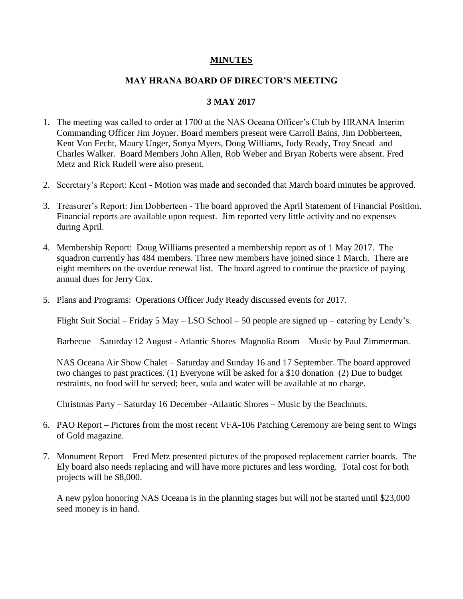## **MINUTES**

## **MAY HRANA BOARD OF DIRECTOR'S MEETING**

## **3 MAY 2017**

- 1. The meeting was called to order at 1700 at the NAS Oceana Officer's Club by HRANA Interim Commanding Officer Jim Joyner. Board members present were Carroll Bains, Jim Dobberteen, Kent Von Fecht, Maury Unger, Sonya Myers, Doug Williams, Judy Ready, Troy Snead and Charles Walker. Board Members John Allen, Rob Weber and Bryan Roberts were absent. Fred Metz and Rick Rudell were also present.
- 2. Secretary's Report: Kent Motion was made and seconded that March board minutes be approved.
- 3. Treasurer's Report: Jim Dobberteen The board approved the April Statement of Financial Position. Financial reports are available upon request. Jim reported very little activity and no expenses during April.
- 4. Membership Report: Doug Williams presented a membership report as of 1 May 2017. The squadron currently has 484 members. Three new members have joined since 1 March. There are eight members on the overdue renewal list. The board agreed to continue the practice of paying annual dues for Jerry Cox.
- 5. Plans and Programs: Operations Officer Judy Ready discussed events for 2017.

Flight Suit Social – Friday 5 May – LSO School – 50 people are signed up – catering by Lendy's.

Barbecue – Saturday 12 August - Atlantic Shores Magnolia Room – Music by Paul Zimmerman.

NAS Oceana Air Show Chalet – Saturday and Sunday 16 and 17 September. The board approved two changes to past practices. (1) Everyone will be asked for a \$10 donation (2) Due to budget restraints, no food will be served; beer, soda and water will be available at no charge.

Christmas Party – Saturday 16 December -Atlantic Shores – Music by the Beachnuts.

- 6. PAO Report Pictures from the most recent VFA-106 Patching Ceremony are being sent to Wings of Gold magazine.
- 7. Monument Report Fred Metz presented pictures of the proposed replacement carrier boards. The Ely board also needs replacing and will have more pictures and less wording. Total cost for both projects will be \$8,000.

A new pylon honoring NAS Oceana is in the planning stages but will not be started until \$23,000 seed money is in hand.